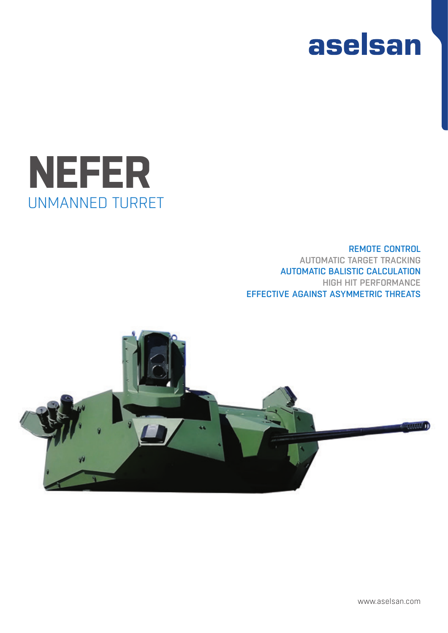



### REMOTE CONTROL AUTOMATIC TARGET TRACKING AUTOMATIC BALISTIC CALCULATION HIGH HIT PERFORMANCE EFFECTIVE AGAINST ASYMMETRIC THREATS